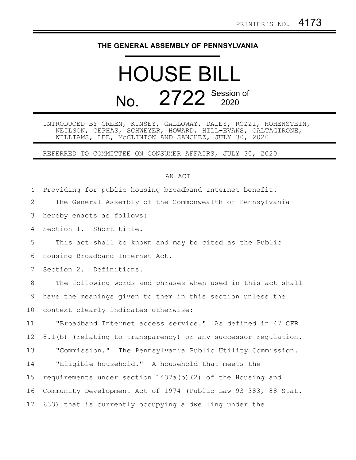## **THE GENERAL ASSEMBLY OF PENNSYLVANIA**

## HOUSE BILL No. 2722 Session of

INTRODUCED BY GREEN, KINSEY, GALLOWAY, DALEY, ROZZI, HOHENSTEIN, NEILSON, CEPHAS, SCHWEYER, HOWARD, HILL-EVANS, CALTAGIRONE, WILLIAMS, LEE, McCLINTON AND SANCHEZ, JULY 30, 2020

REFERRED TO COMMITTEE ON CONSUMER AFFAIRS, JULY 30, 2020

## AN ACT

Providing for public housing broadband Internet benefit. The General Assembly of the Commonwealth of Pennsylvania hereby enacts as follows: Section 1. Short title. This act shall be known and may be cited as the Public Housing Broadband Internet Act. Section 2. Definitions. The following words and phrases when used in this act shall have the meanings given to them in this section unless the context clearly indicates otherwise: "Broadband Internet access service." As defined in 47 CFR 8.1(b) (relating to transparency) or any successor regulation. "Commission." The Pennsylvania Public Utility Commission. "Eligible household." A household that meets the requirements under section 1437a(b)(2) of the Housing and Community Development Act of 1974 (Public Law 93-383, 88 Stat. 633) that is currently occupying a dwelling under the 1 2 3 4 5 6 7 8 9 10 11 12 13 14 15 16 17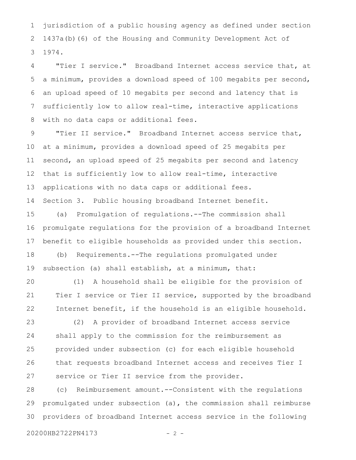jurisdiction of a public housing agency as defined under section 1437a(b)(6) of the Housing and Community Development Act of 1974. 1 2 3

"Tier I service." Broadband Internet access service that, at a minimum, provides a download speed of 100 megabits per second, an upload speed of 10 megabits per second and latency that is sufficiently low to allow real-time, interactive applications with no data caps or additional fees. 4 5 6 7 8

"Tier II service." Broadband Internet access service that, at a minimum, provides a download speed of 25 megabits per second, an upload speed of 25 megabits per second and latency that is sufficiently low to allow real-time, interactive applications with no data caps or additional fees. 9 10 11 12 13

Section 3. Public housing broadband Internet benefit. 14

(a) Promulgation of regulations.--The commission shall promulgate regulations for the provision of a broadband Internet benefit to eligible households as provided under this section. (b) Requirements.--The regulations promulgated under 15 16 17 18

subsection (a) shall establish, at a minimum, that: 19

(1) A household shall be eligible for the provision of Tier I service or Tier II service, supported by the broadband Internet benefit, if the household is an eligible household. 20 21 22

(2) A provider of broadband Internet access service shall apply to the commission for the reimbursement as provided under subsection (c) for each eligible household that requests broadband Internet access and receives Tier I service or Tier II service from the provider. 23 24 25 26 27

(c) Reimbursement amount.--Consistent with the regulations promulgated under subsection (a), the commission shall reimburse providers of broadband Internet access service in the following 28 29 30

20200HB2722PN4173 - 2 -